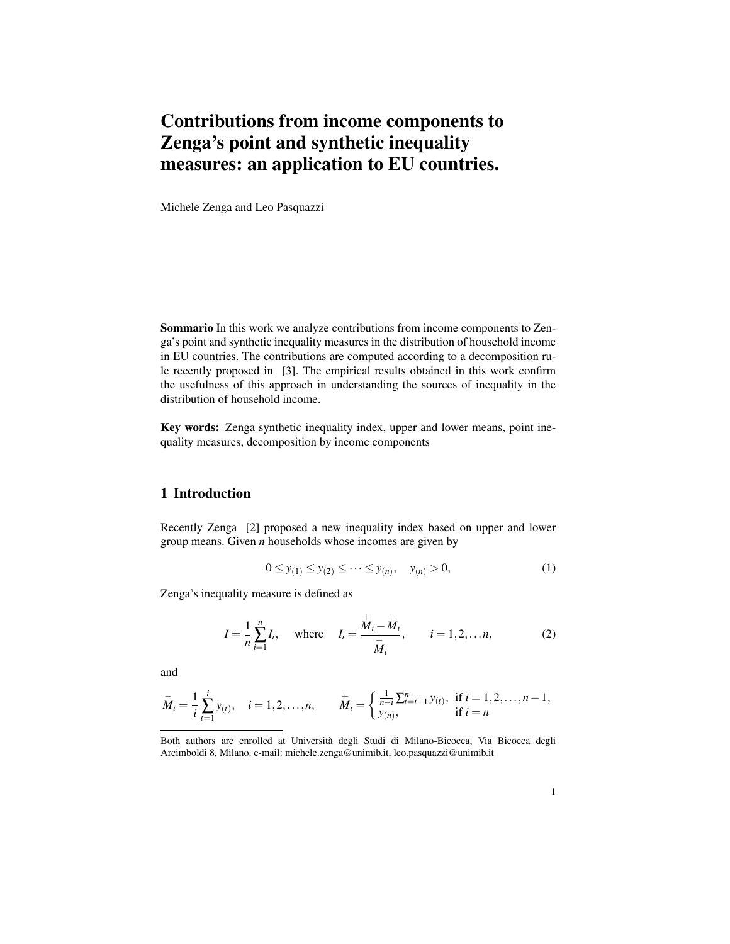## Contributions from income components to Zenga's point and synthetic inequality measures: an application to EU countries.

Michele Zenga and Leo Pasquazzi

Sommario In this work we analyze contributions from income components to Zenga's point and synthetic inequality measures in the distribution of household income in EU countries. The contributions are computed according to a decomposition rule recently proposed in [3]. The empirical results obtained in this work confirm the usefulness of this approach in understanding the sources of inequality in the distribution of household income.

Key words: Zenga synthetic inequality index, upper and lower means, point inequality measures, decomposition by income components

## 1 Introduction

Recently Zenga [2] proposed a new inequality index based on upper and lower group means. Given *n* households whose incomes are given by

$$
0 \le y_{(1)} \le y_{(2)} \le \dots \le y_{(n)}, \quad y_{(n)} > 0,
$$
 (1)

Zenga's inequality measure is defined as

$$
I = \frac{1}{n} \sum_{i=1}^{n} I_i, \text{ where } I_i = \frac{\dot{\bar{M}}_i - \bar{M}_i}{\frac{+}{\bar{M}}_i}, \quad i = 1, 2, \dots n,
$$
 (2)

and

$$
\overline{M}_i = \frac{1}{i} \sum_{t=1}^i y_{(t)}, \quad i = 1, 2, \dots, n, \qquad \overline{M}_i = \begin{cases} \frac{1}{n-i} \sum_{t=1}^n y_{(t)}, & \text{if } i = 1, 2, \dots, n-1, \\ y_{(n)}, & \text{if } i = n \end{cases}
$$

Both authors are enrolled at Universita degli Studi di Milano-Bicocca, Via Bicocca degli ` Arcimboldi 8, Milano. e-mail: michele.zenga@unimib.it, leo.pasquazzi@unimib.it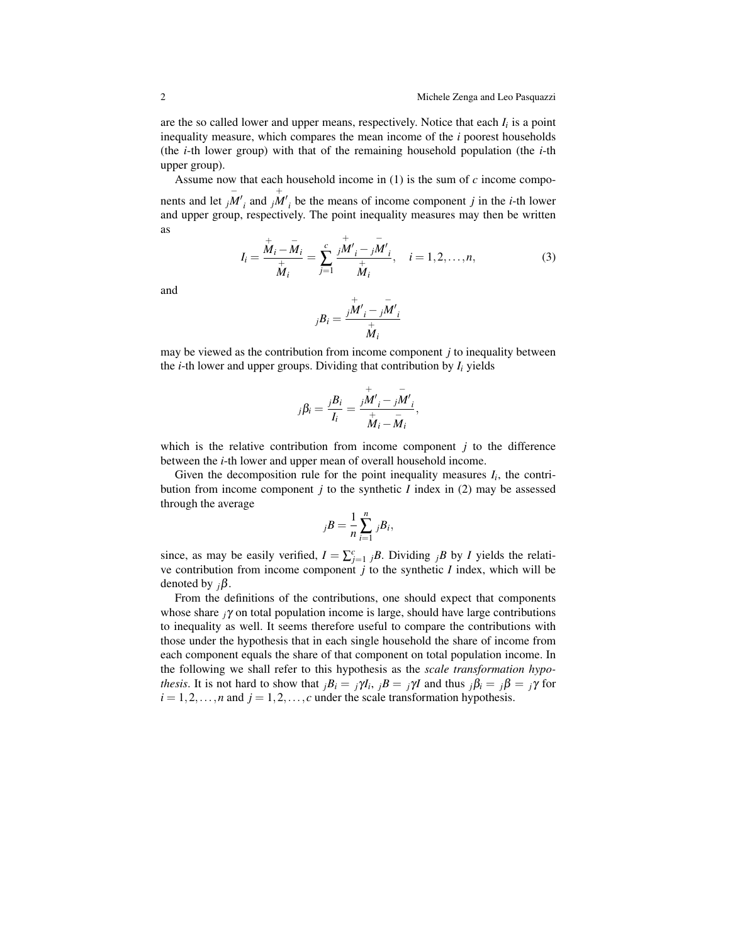are the so called lower and upper means, respectively. Notice that each *I<sup>i</sup>* is a point inequality measure, which compares the mean income of the *i* poorest households (the *i*-th lower group) with that of the remaining household population (the *i*-th upper group).

Assume now that each household income in (1) is the sum of *c* income components and let  $j\overline{M'}_i$  and  $j\overline{M'}_i$  be the means of income component *j* in the *i*-th lower and upper group, respectively. The point inequality measures may then be written as

$$
I_i = \frac{\stackrel{\dagger}{M}_i - \bar{M}_i}{\stackrel{\dagger}{M}_i} = \sum_{j=1}^c \frac{\stackrel{\dagger}{jM'}_i - \stackrel{\dagger}{jM'}}{\stackrel{\dagger}{M}_i}, \quad i = 1, 2, \dots, n,
$$
 (3)

and

$$
jB_i = \frac{\overline{jM'}_i - \overline{jM'}}{\overline{M}_i}
$$

may be viewed as the contribution from income component *j* to inequality between the *i*-th lower and upper groups. Dividing that contribution by  $I_i$  yields

$$
j\beta_i = \frac{jB_i}{I_i} = \frac{jM_i}{\stackrel{+}{M_i} - \bar{M}_i}^j,
$$

which is the relative contribution from income component *j* to the difference between the *i*-th lower and upper mean of overall household income.

Given the decomposition rule for the point inequality measures  $I_i$ , the contribution from income component *j* to the synthetic *I* index in (2) may be assessed through the average

$$
jB=\frac{1}{n}\sum_{i=1}^n jB_i,
$$

since, as may be easily verified,  $I = \sum_{j=1}^{c}{}_{j}B$ . Dividing  $jB$  by *I* yields the relative contribution from income component *j* to the synthetic *I* index, which will be denoted by *<sup>j</sup>*β.

From the definitions of the contributions, one should expect that components whose share *<sup>j</sup>*γ on total population income is large, should have large contributions to inequality as well. It seems therefore useful to compare the contributions with those under the hypothesis that in each single household the share of income from each component equals the share of that component on total population income. In the following we shall refer to this hypothesis as the *scale transformation hypothesis*. It is not hard to show that  $jB_i = j\gamma I_i$ ,  $jB = j\gamma I$  and thus  $j\beta_i = j\beta = j\gamma$  for  $i = 1, 2, \ldots, n$  and  $j = 1, 2, \ldots, c$  under the scale transformation hypothesis.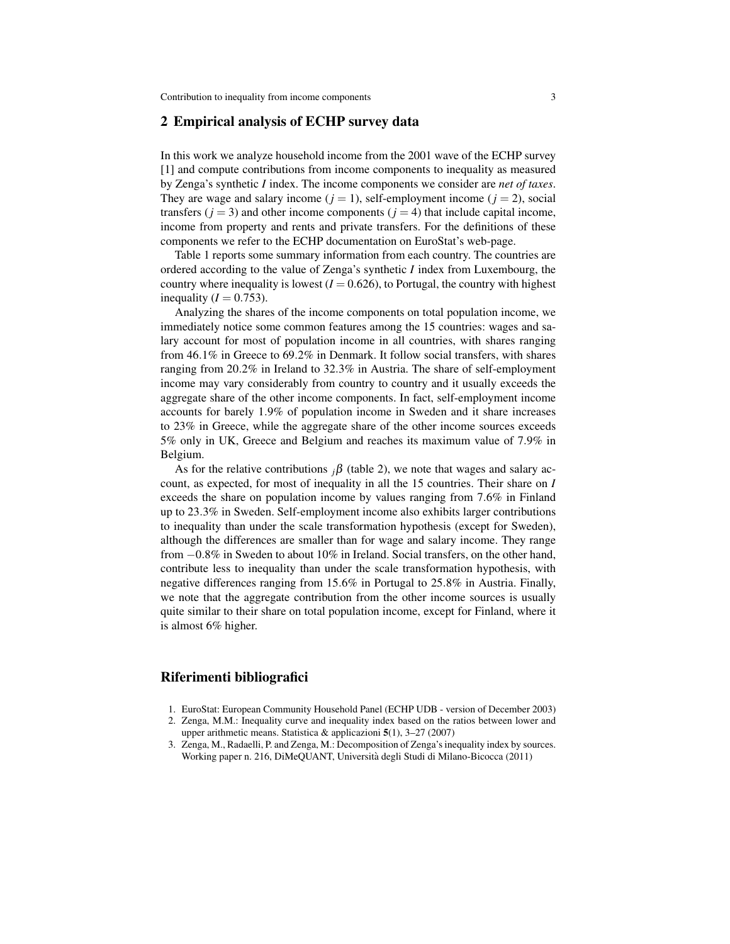## 2 Empirical analysis of ECHP survey data

In this work we analyze household income from the 2001 wave of the ECHP survey [1] and compute contributions from income components to inequality as measured by Zenga's synthetic *I* index. The income components we consider are *net of taxes*. They are wage and salary income  $(j = 1)$ , self-employment income  $(j = 2)$ , social transfers  $(i = 3)$  and other income components  $(i = 4)$  that include capital income, income from property and rents and private transfers. For the definitions of these components we refer to the ECHP documentation on EuroStat's web-page.

Table 1 reports some summary information from each country. The countries are ordered according to the value of Zenga's synthetic *I* index from Luxembourg, the country where inequality is lowest  $(I = 0.626)$ , to Portugal, the country with highest inequality  $(I = 0.753)$ .

Analyzing the shares of the income components on total population income, we immediately notice some common features among the 15 countries: wages and salary account for most of population income in all countries, with shares ranging from 46.1% in Greece to 69.2% in Denmark. It follow social transfers, with shares ranging from 20.2% in Ireland to 32.3% in Austria. The share of self-employment income may vary considerably from country to country and it usually exceeds the aggregate share of the other income components. In fact, self-employment income accounts for barely 1.9% of population income in Sweden and it share increases to 23% in Greece, while the aggregate share of the other income sources exceeds 5% only in UK, Greece and Belgium and reaches its maximum value of 7.9% in Belgium.

As for the relative contributions  ${}_{i}\beta$  (table 2), we note that wages and salary account, as expected, for most of inequality in all the 15 countries. Their share on *I* exceeds the share on population income by values ranging from 7.6% in Finland up to 23.3% in Sweden. Self-employment income also exhibits larger contributions to inequality than under the scale transformation hypothesis (except for Sweden), although the differences are smaller than for wage and salary income. They range from −0.8% in Sweden to about 10% in Ireland. Social transfers, on the other hand, contribute less to inequality than under the scale transformation hypothesis, with negative differences ranging from 15.6% in Portugal to 25.8% in Austria. Finally, we note that the aggregate contribution from the other income sources is usually quite similar to their share on total population income, except for Finland, where it is almost 6% higher.

## Riferimenti bibliografici

- 1. EuroStat: European Community Household Panel (ECHP UDB version of December 2003)
- 2. Zenga, M.M.: Inequality curve and inequality index based on the ratios between lower and upper arithmetic means. Statistica & applicazioni  $5(1)$ , 3–27 (2007)
- 3. Zenga, M., Radaelli, P. and Zenga, M.: Decomposition of Zenga's inequality index by sources. Working paper n. 216, DiMeQUANT, Universita degli Studi di Milano-Bicocca (2011) `